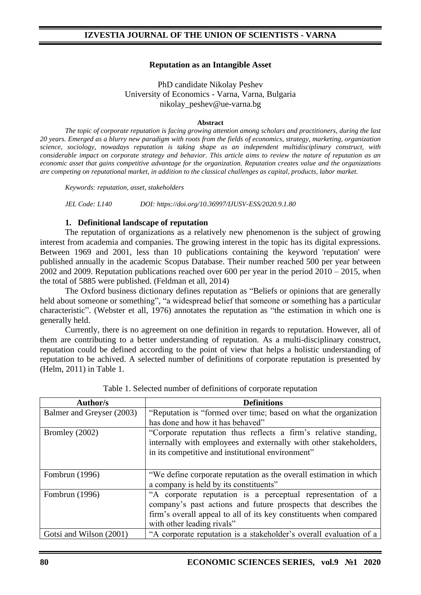### **Reputation as an Intangible Asset**

PhD candidate Nikolay Peshev University of Economics - Varna, Varna, Bulgaria nikolay\_peshev@ue-varna.bg

#### **Abstract**

*The topic of corporate reputation is facing growing attention among scholars and practitioners, during the last 20 years. Emerged as a blurry new paradigm with roots from the fields of economics, strategy, marketing, organization science, sociology, nowadays reputation is taking shape as an independent multidisciplinary construct, with considerable impact on corporate strategy and behavior. This article aims to review the nature of reputation as an economic asset that gains competitive advantage for the organization. Reputation creates value and the organizations are competing on reputational market, in addition to the classical challenges as capital, products, labor market.*

*Keywords: reputation, asset, stakeholders*

*JEL Code: L140 DOI: https://doi.org/10.36997/IJUSV-ESS/2020.9.1.80*

#### **1. Definitional landscape of reputation**

The reputation of organizations as a relatively new phenomenon is the subject of growing interest from academia and companies. The growing interest in the topic has its digital expressions. Between 1969 and 2001, less than 10 publications containing the keyword 'reputation' were published annually in the academic Scopus Database. Their number reached 500 per year between 2002 and 2009. Reputation publications reached over 600 per year in the period 2010 – 2015, when the total of 5885 were published. (Feldman et all, 2014)

The Oxford business dictionary defines reputation as "Beliefs or opinions that are generally held about someone or something", "a widespread belief that someone or something has a particular characteristic". (Webster et all, 1976) annotates the reputation as "the estimation in which one is generally held.

Currently, there is no agreement on one definition in regards to reputation. However, all of them are contributing to a better understanding of reputation. As a multi-disciplinary construct, reputation could be defined according to the point of view that helps a holistic understanding of reputation to be achived. A selected number of definitions of corporate reputation is presented by (Helm, 2011) in Table 1.

| Author/s                  | <b>Definitions</b>                                                                                                                                                                                                                |
|---------------------------|-----------------------------------------------------------------------------------------------------------------------------------------------------------------------------------------------------------------------------------|
| Balmer and Greyser (2003) | "Reputation is "formed over time; based on what the organization                                                                                                                                                                  |
|                           | has done and how it has behaved"                                                                                                                                                                                                  |
| Bromley (2002)            | "Corporate reputation thus reflects a firm's relative standing,<br>internally with employees and externally with other stakeholders,<br>in its competitive and institutional environment"                                         |
| Fombrun (1996)            | "We define corporate reputation as the overall estimation in which<br>a company is held by its constituents"                                                                                                                      |
| Fombrun (1996)            | "A corporate reputation is a perceptual representation of a<br>company's past actions and future prospects that describes the<br>firm's overall appeal to all of its key constituents when compared<br>with other leading rivals" |
| Gotsi and Wilson (2001)   | "A corporate reputation is a stakeholder's overall evaluation of a                                                                                                                                                                |

Table 1. Selected number of definitions of corporate reputation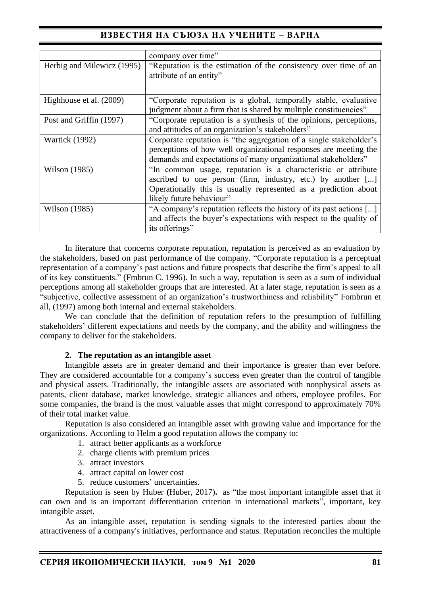# **ИЗВЕСТИЯ НА СЪЮЗА НА УЧЕНИТЕ – ВАРНА**

|                            | company over time"                                                  |
|----------------------------|---------------------------------------------------------------------|
| Herbig and Milewicz (1995) | "Reputation is the estimation of the consistency over time of an    |
|                            | attribute of an entity"                                             |
|                            |                                                                     |
| Highhouse et al. (2009)    | "Corporate reputation is a global, temporally stable, evaluative    |
|                            | judgment about a firm that is shared by multiple constituencies"    |
| Post and Griffin (1997)    | "Corporate reputation is a synthesis of the opinions, perceptions,  |
|                            | and attitudes of an organization's stakeholders"                    |
| <b>Wartick</b> (1992)      | Corporate reputation is "the aggregation of a single stakeholder's  |
|                            | perceptions of how well organizational responses are meeting the    |
|                            | demands and expectations of many organizational stakeholders"       |
| Wilson (1985)              | "In common usage, reputation is a characteristic or attribute       |
|                            | ascribed to one person (firm, industry, etc.) by another []         |
|                            | Operationally this is usually represented as a prediction about     |
|                            | likely future behaviour"                                            |
| Wilson (1985)              | "A company's reputation reflects the history of its past actions [] |
|                            | and affects the buyer's expectations with respect to the quality of |
|                            | its offerings"                                                      |

In literature that concerns corporate reputation, reputation is perceived as an evaluation by the stakeholders, based on past performance of the company. "Corporate reputation is a perceptual representation of a company's past actions and future prospects that describe the firm's appeal to all of its key constituents." (Fmbrun C. 1996). In such a way, reputation is seen as a sum of individual perceptions among all stakeholder groups that are interested. At a later stage, reputation is seen as a "subjective, collective assessment of an organization's trustworthiness and reliability" Fombrun et all, (1997) among both internal and external stakeholders.

We can conclude that the definition of reputation refers to the presumption of fulfilling stakeholders' different expectations and needs by the company, and the ability and willingness the company to deliver for the stakeholders.

#### **2. The reputation as an intangible asset**

Intangible assets are in greater demand and their importance is greater than ever before. They are considered accountable for a company's success even greater than the control of tangible and physical assets. Traditionally, the intangible assets are associated with nonphysical assets as patents, client database, market knowledge, strategic alliances and others, employee profiles. For some companies, the brand is the most valuable asses that might correspond to approximately 70% of their total market value.

Reputation is also considered an intangible asset with growing value and importance for the organizations. According to Helm a good reputation allows the company to:

- 1. attract better applicants as a workforce
- 2. charge clients with premium prices
- 3. attract investors
- 4. attract capital on lower cost
- 5. reduce customers' uncertainties.

Reputation is seen by Huber **(**Huber, 2017)**.** as "the most important intangible asset that it can own and is an important differentiation criterion in international markets", important, key intangible asset.

As an intangible asset, reputation is sending signals to the interested parties about the attractiveness of a company's initiatives, performance and status. Reputation reconciles the multiple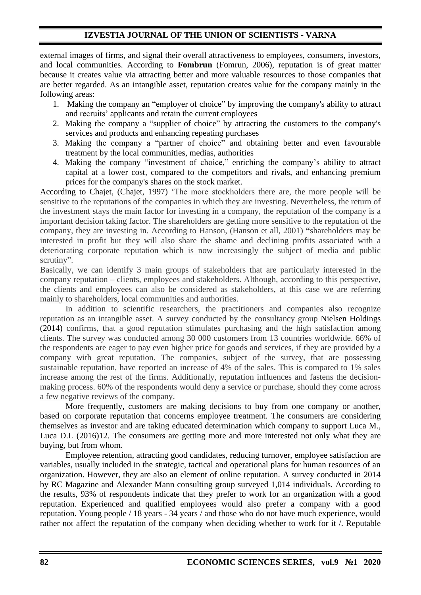## **IZVESTIA JOURNAL OF THE UNION OF SCIENTISTS - VARNA**

external images of firms, and signal their overall attractiveness to employees, consumers, investors, and local communities. According to **Fombrun** (Fomrun, 2006), reputation is of great matter because it creates value via attracting better and more valuable resources to those companies that are better regarded. As an intangible asset, reputation creates value for the company mainly in the following areas:

- 1. Making the company an "employer of choice" by improving the company's ability to attract and recruits' applicants and retain the current employees
- 2. Making the company a "supplier of choice" by attracting the customers to the company's services and products and enhancing repeating purchases
- 3. Making the company a "partner of choice" and obtaining better and even favourable treatment by the local communities, medias, authorities
- 4. Making the company "investment of choice," enriching the company's ability to attract capital at a lower cost, compared to the competitors and rivals, and enhancing premium prices for the company's shares on the stock market.

According to Chajet, (Chajet, 1997) 'The more stockholders there are, the more people will be sensitive to the reputations of the companies in which they are investing. Nevertheless, the return of the investment stays the main factor for investing in a company, the reputation of the company is a important decision taking factor. The shareholders are getting more sensitive to the reputation of the company, they are investing in. According to Hanson, (Hanson et all, 2001) **"**shareholders may be interested in profit but they will also share the shame and declining profits associated with a deteriorating corporate reputation which is now increasingly the subject of media and public scrutiny".

Basically, we can identify 3 main groups of stakeholders that are particularly interested in the company reputation – clients, employees and stakeholders. Although, according to this perspective, the clients and employees can also be considered as stakeholders, at this case we are referring mainly to shareholders, local communities and authorities.

In addition to scientific researchers, the practitioners and companies also recognize reputation as an intangible asset. A survey conducted by the consultancy group Nielsen Holdings (2014) confirms, that a good reputation stimulates purchasing and the high satisfaction among clients. The survey was conducted among 30 000 customers from 13 countries worldwide. 66% of the respondents are eager to pay even higher price for goods and services, if they are provided by a company with great reputation. The companies, subject of the survey, that are possessing sustainable reputation, have reported an increase of 4% of the sales. This is compared to 1% sales increase among the rest of the firms. Additionally, reputation influences and fastens the decisionmaking process. 60% of the respondents would deny a service or purchase, should they come across a few negative reviews of the company.

More frequently, customers are making decisions to buy from one company or another, based on corporate reputation that concerns employee treatment. The consumers are considering themselves as investor and are taking educated determination which company to support Luca M., Luca D.L (2016)12. The consumers are getting more and more interested not only what they are buying, but from whom.

Employee retention, attracting good candidates, reducing turnover, employee satisfaction are variables, usually included in the strategic, tactical and operational plans for human resources of an organization. However, they are also an element of online reputation. A survey conducted in 2014 by RC Magazine and Alexander Mann consulting group surveyed 1,014 individuals. According to the results, 93% of respondents indicate that they prefer to work for an organization with a good reputation. Experienced and qualified employees would also prefer a company with a good reputation. Young people / 18 years - 34 years / and those who do not have much experience, would rather not affect the reputation of the company when deciding whether to work for it /. Reputable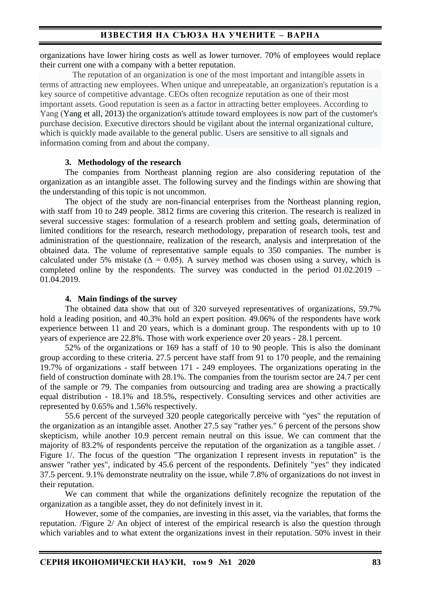organizations have lower hiring costs as well as lower turnover. 70% of employees would replace their current one with a company with a better reputation.

The reputation of an organization is one of the most important and intangible assets in terms of attracting new employees. When unique and unrepeatable, an organization's reputation is a key source of competitive advantage. CEOs often recognize reputation as one of their most important assets. Good reputation is seen as a factor in attracting better employees. According to Yang (Yang et all, 2013) the organization's attitude toward employees is now part of the customer's purchase decision. Executive directors should be vigilant about the internal organizational culture, which is quickly made available to the general public. Users are sensitive to all signals and information coming from and about the company.

### **3. Methodology of the research**

The companies from Northeast planning region are also considering reputation of the organization as an intangible asset. The following survey and the findings within are showing that the understanding of this topic is not uncommon.

The object of the study are non-financial enterprises from the Northeast planning region, with staff from 10 to 249 people. 3812 firms are covering this criterion. The research is realized in several successive stages: formulation of a research problem and setting goals, determination of limited conditions for the research, research methodology, preparation of research tools, test and administration of the questionnaire, realization of the research, analysis and interpretation of the obtained data. The volume of representative sample equals to 350 companies. The number is calculated under 5% mistake ( $\Delta = 0.05$ ). A survey method was chosen using a survey, which is completed online by the respondents. The survey was conducted in the period 01.02.2019 – 01.04.2019.

### **4. Main findings of the survey**

The obtained data show that out of 320 surveyed representatives of organizations, 59.7% hold a leading position, and 40.3% hold an expert position. 49.06% of the respondents have work experience between 11 and 20 years, which is a dominant group. The respondents with up to 10 years of experience are 22.8%. Those with work experience over 20 years - 28.1 percent.

52% of the organizations or 169 has a staff of 10 to 90 people. This is also the dominant group according to these criteria. 27.5 percent have staff from 91 to 170 people, and the remaining 19.7% of organizations - staff between 171 - 249 employees. The organizations operating in the field of construction dominate with 28.1%. The companies from the tourism sector are 24.7 per cent of the sample or 79. The companies from outsourcing and trading area are showing a practically equal distribution - 18.1% and 18.5%, respectively. Consulting services and other activities are represented by 0.65% and 1.56% respectively.

55.6 percent of the surveyed 320 people categorically perceive with "yes" the reputation of the organization as an intangible asset. Another 27.5 say "rather yes." 6 percent of the persons show skepticism, while another 10.9 percent remain neutral on this issue. We can comment that the majority of 83.2% of respondents perceive the reputation of the organization as a tangible asset. / Figure 1/. The focus of the question "The organization I represent invests in reputation" is the answer "rather yes", indicated by 45.6 percent of the respondents. Definitely "yes" they indicated 37.5 percent. 9.1% demonstrate neutrality on the issue, while 7.8% of organizations do not invest in their reputation.

We can comment that while the organizations definitely recognize the reputation of the organization as a tangible asset, they do not definitely invest in it.

However, some of the companies, are investing in this asset, via the variables, that forms the reputation. /Figure 2/ An object of interest of the empirical research is also the question through which variables and to what extent the organizations invest in their reputation. 50% invest in their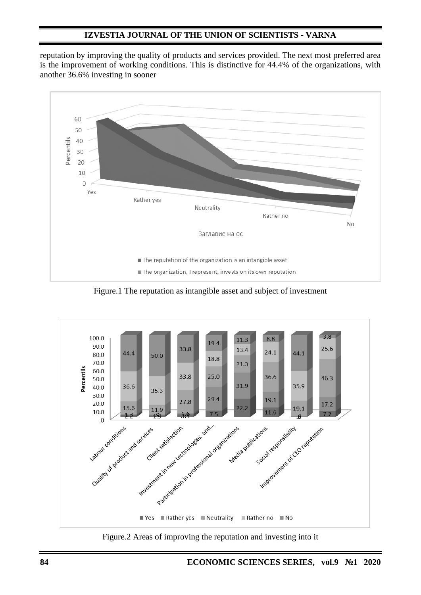## **IZVESTIA JOURNAL OF THE UNION OF SCIENTISTS - VARNA**

reputation by improving the quality of products and services provided. The next most preferred area is the improvement of working conditions. This is distinctive for 44.4% of the organizations, with another 36.6% investing in sooner



Figure.1 The reputation as intangible asset and subject of investment



Figure.2 Areas of improving the reputation and investing into it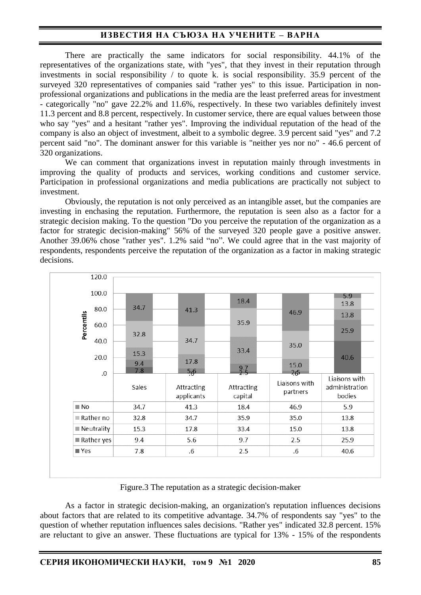# **ИЗВЕСТИЯ НА СЪЮЗА НА УЧЕНИТЕ – ВАРНА**

There are practically the same indicators for social responsibility. 44.1% of the representatives of the organizations state, with "yes", that they invest in their reputation through investments in social responsibility / to quote k. is social responsibility. 35.9 percent of the surveyed 320 representatives of companies said "rather yes" to this issue. Participation in nonprofessional organizations and publications in the media are the least preferred areas for investment - categorically "no" gave 22.2% and 11.6%, respectively. In these two variables definitely invest 11.3 percent and 8.8 percent, respectively. In customer service, there are equal values between those who say "yes" and a hesitant "rather yes". Improving the individual reputation of the head of the company is also an object of investment, albeit to a symbolic degree. 3.9 percent said "yes" and 7.2 percent said "no". The dominant answer for this variable is "neither yes nor no" - 46.6 percent of 320 organizations.

We can comment that organizations invest in reputation mainly through investments in improving the quality of products and services, working conditions and customer service. Participation in professional organizations and media publications are practically not subject to investment.

Obviously, the reputation is not only perceived as an intangible asset, but the companies are investing in enchasing the reputation. Furthermore, the reputation is seen also as a factor for a strategic decision making. To the question "Do you perceive the reputation of the organization as a factor for strategic decision-making" 56% of the surveyed 320 people gave a positive answer. Another 39.06% chose "rather yes". 1.2% said "no". We could agree that in the vast majority of respondents, respondents perceive the reputation of the organization as a factor in making strategic decisions.

|                    | 120.0      |             |                          |                       |                           |                                           |
|--------------------|------------|-------------|--------------------------|-----------------------|---------------------------|-------------------------------------------|
|                    | 100.0      | 34.7        |                          | 18.4                  |                           | 5.9<br>13.8                               |
|                    | 80.0       |             | 41.3                     |                       | 46.9                      | 13.8                                      |
| Percentils         | 60.0       | 32.8        |                          | 35.9                  |                           | 25.9                                      |
|                    | 40.0       |             | 34.7                     |                       | 35.0                      |                                           |
|                    | 20.0       | 15.3<br>9.4 | 17.8                     | 33.4                  |                           | 40.6                                      |
|                    | .0         | 7.8         | $\frac{56}{5}$           | $\frac{9.7}{2.5}$     | 15.0<br>265               |                                           |
|                    |            | Sales       | Attracting<br>applicants | Attracting<br>capital | Liaisons with<br>partners | Liaisons with<br>administration<br>bodies |
| $\blacksquare$ No  |            | 34.7        | 41.3                     | 18.4                  | 46.9                      | 5.9                                       |
|                    | Rather no  | 32.8        | 34.7                     | 35.9                  | 35.0                      | 13.8                                      |
|                    | Neutrality | 15.3        | 17.8                     | 33.4                  | 15.0                      | 13.8                                      |
|                    | Rather yes | 9.4         | 5.6                      | 9.7                   | 2.5                       | 25.9                                      |
| $\blacksquare$ Yes |            | 7.8         | $.6\,$                   | 2.5                   | .6                        | 40.6                                      |

Figure.3 The reputation as a strategic decision-maker

As a factor in strategic decision-making, an organization's reputation influences decisions about factors that are related to its competitive advantage. 34.7% of respondents say "yes" to the question of whether reputation influences sales decisions. "Rather yes" indicated 32.8 percent. 15% are reluctant to give an answer. These fluctuations are typical for 13% - 15% of the respondents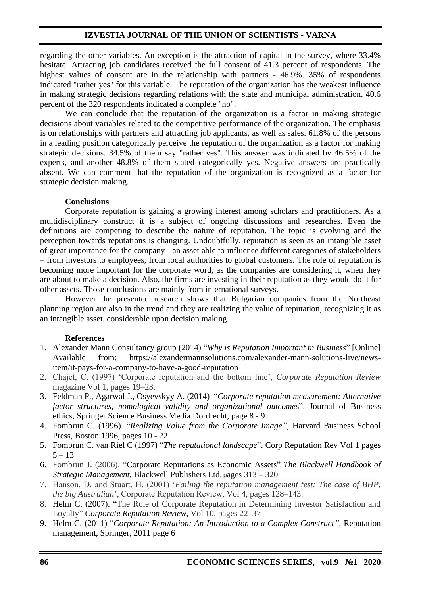### **IZVESTIA JOURNAL OF THE UNION OF SCIENTISTS - VARNA**

regarding the other variables. An exception is the attraction of capital in the survey, where 33.4% hesitate. Attracting job candidates received the full consent of 41.3 percent of respondents. The highest values of consent are in the relationship with partners - 46.9%, 35% of respondents indicated "rather yes" for this variable. The reputation of the organization has the weakest influence in making strategic decisions regarding relations with the state and municipal administration. 40.6 percent of the 320 respondents indicated a complete "no".

We can conclude that the reputation of the organization is a factor in making strategic decisions about variables related to the competitive performance of the organization. The emphasis is on relationships with partners and attracting job applicants, as well as sales. 61.8% of the persons in a leading position categorically perceive the reputation of the organization as a factor for making strategic decisions. 34.5% of them say "rather yes". This answer was indicated by 46.5% of the experts, and another 48.8% of them stated categorically yes. Negative answers are practically absent. We can comment that the reputation of the organization is recognized as a factor for strategic decision making.

#### **Conclusions**

Corporate reputation is gaining a growing interest among scholars and practitioners. As a multidisciplinary construct it is a subject of ongoing discussions and researches. Even the definitions are competing to describe the nature of reputation. The topic is evolving and the perception towards reputations is changing. Undoubtfully, reputation is seen as an intangible asset of great importance for the company - an asset able to influence different categories of stakeholders – from investors to employees, from local authorities to global customers. The role of reputation is becoming more important for the corporate word, as the companies are considering it, when they are about to make a decision. Also, the firms are investing in their reputation as they would do it for other assets. Those conclusions are mainly from international surveys.

However the presented research shows that Bulgarian companies from the Northeast planning region are also in the trend and they are realizing the value of reputation, recognizing it as an intangible asset, considerable upon decision making.

#### **References**

- 1. Alexander Mann Consultancy group (2014) "*Why is Reputation Important in Business*" [Online] Available from: https://alexandermannsolutions.com/alexander-mann-solutions-live/newsitem/it-pays-for-a-company-to-have-a-good-reputation
- 2. Chajet, C. (1997) 'Corporate reputation and the bottom line', *Corporate Reputation Review* magazine Vol 1, pages 19–23.
- 3. Feldman P., Agarwal J., Osyevskyy A. (2014) "*Corporate reputation measurement: Alternative factor structures, nomological validity and organizational outcome*s". Journal of Business ethics, Springer Science Business Media Dordrecht, page 8 - 9
- 4. Fombrun C. (1996). "*Realizing Value from the Corporate Image"*, Harvard Business School Press, Boston 1996, pages 10 - 22
- 5. Fombrun C. van Riel C (1997) "*The reputational landscape*". Corp Reputation Rev Vol 1 pages  $5 - 13$
- 6. Fombrun J. (2006). "Corporate Reputations as Economic Assets" *The Blackwell Handbook of Strategic Management.* Blackwell Publishers Ltd. pages 313 – 320
- 7. Hanson, D. and Stuart, H. (2001) '*Failing the reputation management test: The case of BHP, the big Australian*', Corporate Reputation Review, Vol 4, pages 128–143.
- 8. Helm C. (2007). "The Role of Corporate Reputation in Determining Investor Satisfaction and Loyalty" *[Corporate Reputation Review](https://link.springer.com/journal/41299)*, Vol 10, pages 22–37
- 9. Helm C. (2011) "*Corporate Reputation: An Introduction to a Complex Construct"*, Reputation management, Springer, 2011 page 6